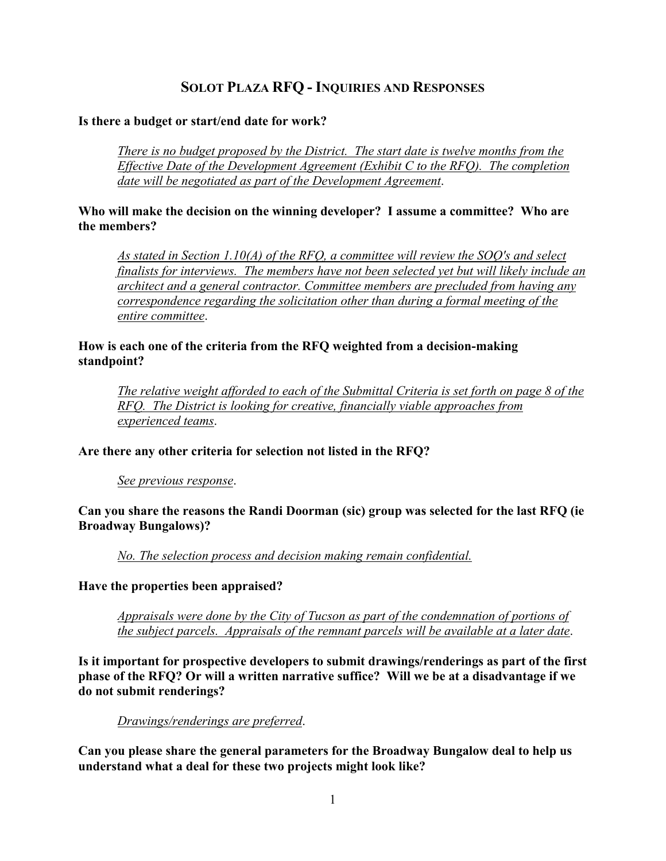# **SOLOT PLAZA RFQ - INQUIRIES AND RESPONSES**

#### **Is there a budget or start/end date for work?**

*There is no budget proposed by the District. The start date is twelve months from the Effective Date of the Development Agreement (Exhibit C to the RFQ). The completion date will be negotiated as part of the Development Agreement*.

#### **Who will make the decision on the winning developer? I assume a committee? Who are the members?**

*As stated in Section 1.10(A) of the RFQ, a committee will review the SOQ's and select finalists for interviews. The members have not been selected yet but will likely include an architect and a general contractor. Committee members are precluded from having any correspondence regarding the solicitation other than during a formal meeting of the entire committee*.

### **How is each one of the criteria from the RFQ weighted from a decision-making standpoint?**

*The relative weight afforded to each of the Submittal Criteria is set forth on page 8 of the RFQ. The District is looking for creative, financially viable approaches from experienced teams*.

# **Are there any other criteria for selection not listed in the RFQ?**

*See previous response*.

### **Can you share the reasons the Randi Doorman (sic) group was selected for the last RFQ (ie Broadway Bungalows)?**

*No. The selection process and decision making remain confidential.*

**Have the properties been appraised?**

*Appraisals were done by the City of Tucson as part of the condemnation of portions of the subject parcels. Appraisals of the remnant parcels will be available at a later date*.

**Is it important for prospective developers to submit drawings/renderings as part of the first phase of the RFQ? Or will a written narrative suffice? Will we be at a disadvantage if we do not submit renderings?**

#### *Drawings/renderings are preferred*.

**Can you please share the general parameters for the Broadway Bungalow deal to help us understand what a deal for these two projects might look like?**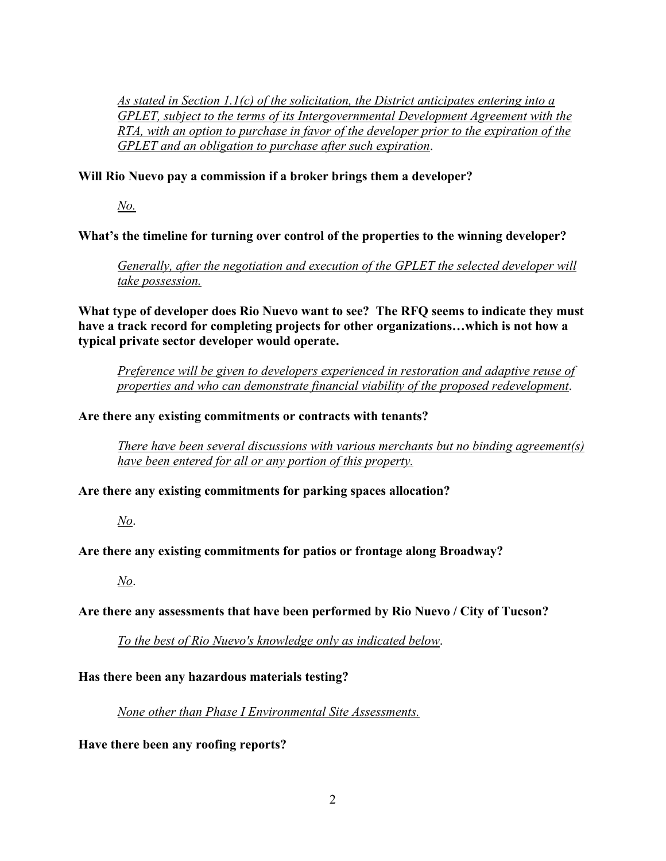*As stated in Section 1.1(c) of the solicitation, the District anticipates entering into a GPLET, subject to the terms of its Intergovernmental Development Agreement with the RTA, with an option to purchase in favor of the developer prior to the expiration of the GPLET and an obligation to purchase after such expiration*.

# **Will Rio Nuevo pay a commission if a broker brings them a developer?**

*No.*

# **What's the timeline for turning over control of the properties to the winning developer?**

*Generally, after the negotiation and execution of the GPLET the selected developer will take possession.*

**What type of developer does Rio Nuevo want to see? The RFQ seems to indicate they must have a track record for completing projects for other organizations…which is not how a typical private sector developer would operate.**

*Preference will be given to developers experienced in restoration and adaptive reuse of properties and who can demonstrate financial viability of the proposed redevelopment*.

# **Are there any existing commitments or contracts with tenants?**

*There have been several discussions with various merchants but no binding agreement(s) have been entered for all or any portion of this property.* 

# **Are there any existing commitments for parking spaces allocation?**

*No*.

# **Are there any existing commitments for patios or frontage along Broadway?**

*No*.

# **Are there any assessments that have been performed by Rio Nuevo / City of Tucson?**

*To the best of Rio Nuevo's knowledge only as indicated below*.

# **Has there been any hazardous materials testing?**

*None other than Phase I Environmental Site Assessments.*

#### **Have there been any roofing reports?**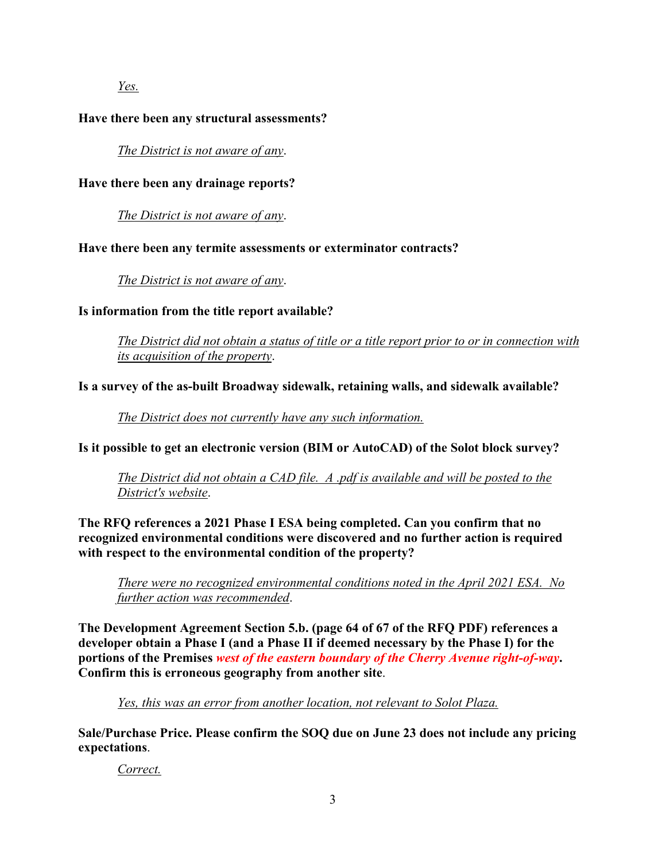*Yes.*

### **Have there been any structural assessments?**

*The District is not aware of any*.

### **Have there been any drainage reports?**

*The District is not aware of any*.

### **Have there been any termite assessments or exterminator contracts?**

*The District is not aware of any*.

### **Is information from the title report available?**

*The District did not obtain a status of title or a title report prior to or in connection with its acquisition of the property*.

### **Is a survey of the as-built Broadway sidewalk, retaining walls, and sidewalk available?**

*The District does not currently have any such information.*

**Is it possible to get an electronic version (BIM or AutoCAD) of the Solot block survey?**

*The District did not obtain a CAD file. A .pdf is available and will be posted to the District's website*.

**The RFQ references a 2021 Phase I ESA being completed. Can you confirm that no recognized environmental conditions were discovered and no further action is required with respect to the environmental condition of the property?**

*There were no recognized environmental conditions noted in the April 2021 ESA. No further action was recommended*.

**The Development Agreement Section 5.b. (page 64 of 67 of the RFQ PDF) references a developer obtain a Phase I (and a Phase II if deemed necessary by the Phase I) for the portions of the Premises** *west of the eastern boundary of the Cherry Avenue right-of-way***. Confirm this is erroneous geography from another site**.

*Yes, this was an error from another location, not relevant to Solot Plaza.*

**Sale/Purchase Price. Please confirm the SOQ due on June 23 does not include any pricing expectations**.

*Correct.*